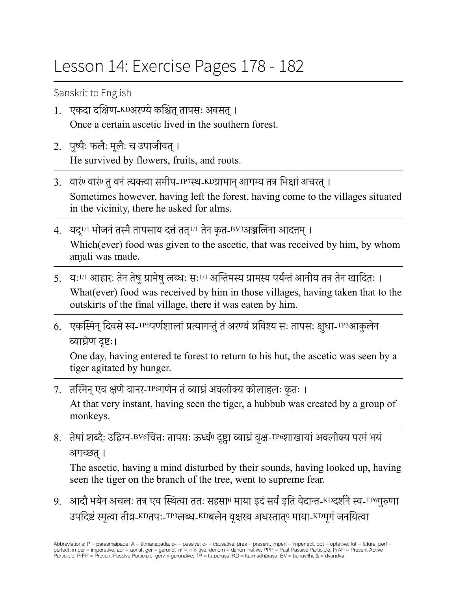## Lesson 14: Exercise Pages 178 - 182

Sanskrit to English

- 1. एकदा दक्षिण-KDअरण्येकश्चित्तापसः अवसत्। Once a certain ascetic lived in the southern forest.
- 2. पुष्पैः फलैः मूलैः च उपाजीवत्। He survived by flowers, fruits, and roots.
- 3. वारं<sup>0</sup> वारं<sup>0</sup> तु वनं त्यक्त्वा समीप-<sup>TP7</sup>स्थ-KDग्रामान् आगम्य तत्र भिक्षां अचरत् । Sometimes however, having left the forest, having come to the villages situated in the vicinity, there he asked for alms.
- 4. यद्।/1 भोजनं तस्मै तापसाय दत्तं तत्1/1 तेन कृत-BV3अञ्जलिना आदत्तम् । Which(ever) food was given to the ascetic, that was received by him, by whom anjali was made.
- 5. यः<sup>1/1</sup> आहारः तेन तेषु ग्रामेषु लब्धः सः<sup>1/1</sup> अन्तिमस्य ग्रामस्य पर्यन्तं आनीय तत्र तेन खादितः । What(ever) food was received by him in those villages, having taken that to the outskirts of the final village, there it was eaten by him.
- 6. एकस्मिन् दिवसे स्व-™॰पर्णशालां प्रत्यागन्तुं तं अरण्यं प्रविश्य सः तापसः क्षुधा-™3आकुलेन व्याघ्रेण दृष्टः।

One day, having entered te forest to return to his hut, the ascetic was seen by a tiger agitated by hunger.

7. तस्मिन् एव क्षणे वानर-TP6गणेन तं व्याघ्रं अवलोक्य कोलाहलः कृतः ।

At that very instant, having seen the tiger, a hubbub was created by a group of monkeys.

8. तेषां शब्दैः उद्विग्न-BV6चित्तः तापसः ऊर्ध्वं0 दृष्ट्वा व्याघ्रं वृक्ष-TP6शाखायां अवलोक्य परमं भयं अगच्छत्।

The ascetic, having a mind disturbed by their sounds, having looked up, having seen the tiger on the branch of the tree, went to supreme fear.

9. आदौ भयेन अचलः तत्र एव स्थित्वा ततः सहसा0 माया डदं सर्वं इति वेदान्त-KDदर्शने स्व-TP6गुरुणा उपदिष्टंस्मृत्वा तीव्र-KDतपः-TP3लब्ध-KDबलेन वृक्षस्य अधस्तात्<sup>0</sup> माया-KDमृगंजनयित्वा